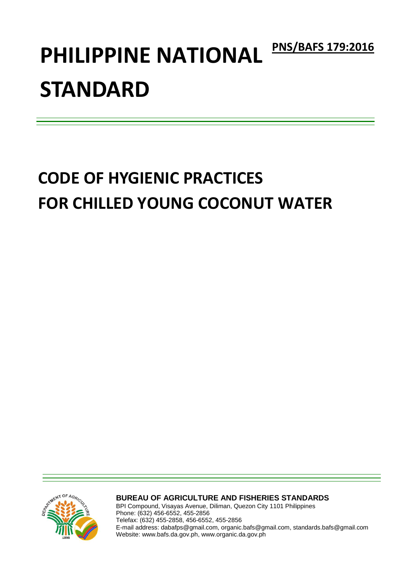# PHILIPPINE NATIONAL **PNS/BAFS 179:2016 STANDARD**

# **CODE OF HYGIENIC PRACTICES FOR CHILLED YOUNG COCONUT WATER**



**BUREAU OF AGRICULTURE AND FISHERIES STANDARDS**

BPI Compound, Visayas Avenue, Diliman, Quezon City 1101 Philippines Phone: (632) 456-6552, 455-2856 Telefax: (632) 455-2858, 456-6552, 455-2856 E-mail address: dabafps@gmail.com, organic.bafs@gmail.com, standards.bafs@gmail.com Website: www.bafs.da.gov.ph, www.organic.da.gov.ph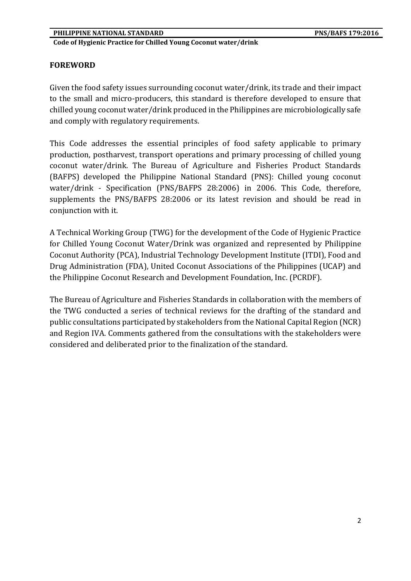# **FOREWORD**

Given the food safety issues surrounding coconut water/drink, its trade and their impact to the small and micro-producers, this standard is therefore developed to ensure that chilled young coconut water/drink produced in the Philippines are microbiologically safe and comply with regulatory requirements.

This Code addresses the essential principles of food safety applicable to primary production, postharvest, transport operations and primary processing of chilled young coconut water/drink. The Bureau of Agriculture and Fisheries Product Standards (BAFPS) developed the Philippine National Standard (PNS): Chilled young coconut water/drink - Specification (PNS/BAFPS 28:2006) in 2006. This Code, therefore, supplements the PNS/BAFPS 28:2006 or its latest revision and should be read in conjunction with it.

A Technical Working Group (TWG) for the development of the Code of Hygienic Practice for Chilled Young Coconut Water/Drink was organized and represented by Philippine Coconut Authority (PCA), Industrial Technology Development Institute (ITDI), Food and Drug Administration (FDA), United Coconut Associations of the Philippines (UCAP) and the Philippine Coconut Research and Development Foundation, Inc. (PCRDF).

The Bureau of Agriculture and Fisheries Standards in collaboration with the members of the TWG conducted a series of technical reviews for the drafting of the standard and public consultations participated by stakeholders from the National Capital Region (NCR) and Region IVA. Comments gathered from the consultations with the stakeholders were considered and deliberated prior to the finalization of the standard.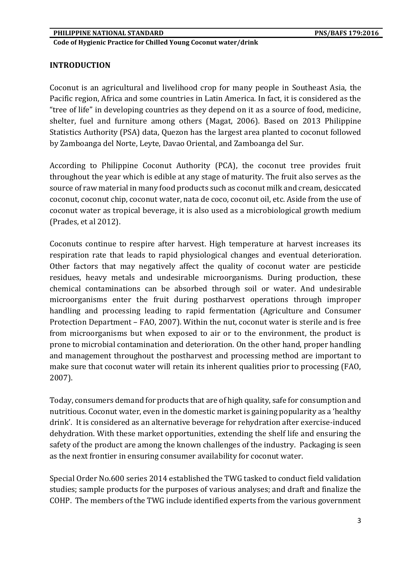#### **INTRODUCTION**

Coconut is an agricultural and livelihood crop for many people in Southeast Asia, the Pacific region, Africa and some countries in Latin America. In fact, it is considered as the "tree of life" in developing countries as they depend on it as a source of food, medicine, shelter, fuel and furniture among others (Magat, 2006). Based on 2013 Philippine Statistics Authority (PSA) data, Quezon has the largest area planted to coconut followed by Zamboanga del Norte, Leyte, Davao Oriental, and Zamboanga del Sur.

According to Philippine Coconut Authority (PCA), the coconut tree provides fruit throughout the year which is edible at any stage of maturity. The fruit also serves as the source of raw material in many food products such as coconut milk and cream, desiccated coconut, coconut chip, coconut water, nata de coco, coconut oil, etc. Aside from the use of coconut water as tropical beverage, it is also used as a microbiological growth medium (Prades, et al 2012).

Coconuts continue to respire after harvest. High temperature at harvest increases its respiration rate that leads to rapid physiological changes and eventual deterioration. Other factors that may negatively affect the quality of coconut water are pesticide residues, heavy metals and undesirable microorganisms. During production, these chemical contaminations can be absorbed through soil or water. And undesirable microorganisms enter the fruit during postharvest operations through improper handling and processing leading to rapid fermentation (Agriculture and Consumer Protection Department – FAO, 2007). Within the nut, coconut water is sterile and is free from microorganisms but when exposed to air or to the environment, the product is prone to microbial contamination and deterioration. On the other hand, proper handling and management throughout the postharvest and processing method are important to make sure that coconut water will retain its inherent qualities prior to processing (FAO, 2007).

Today, consumers demand for products that are of high quality, safe for consumption and nutritious. Coconut water, even in the domestic market is gaining popularity as a 'healthy drink'. It is considered as an alternative beverage for rehydration after exercise-induced dehydration. With these market opportunities, extending the shelf life and ensuring the safety of the product are among the known challenges of the industry. Packaging is seen as the next frontier in ensuring consumer availability for coconut water.

Special Order No.600 series 2014 established the TWG tasked to conduct field validation studies; sample products for the purposes of various analyses; and draft and finalize the COHP. The members of the TWG include identified experts from the various government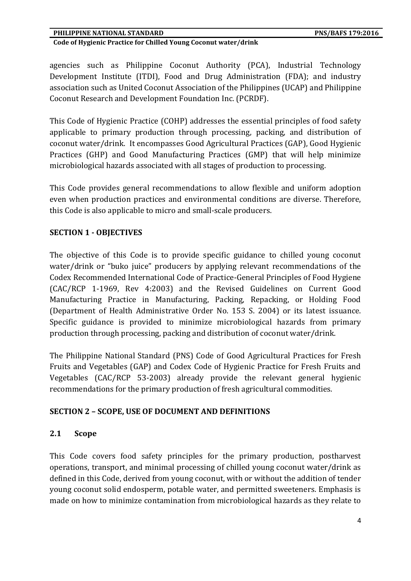#### **PHILIPPINE NATIONAL STANDARD PHILIPPINE NATIONAL STANDARD**

#### **Code of Hygienic Practice for Chilled Young Coconut water/drink**

agencies such as Philippine Coconut Authority (PCA), Industrial Technology Development Institute (ITDI), Food and Drug Administration (FDA); and industry association such as United Coconut Association of the Philippines (UCAP) and Philippine Coconut Research and Development Foundation Inc. (PCRDF).

This Code of Hygienic Practice (COHP) addresses the essential principles of food safety applicable to primary production through processing, packing, and distribution of coconut water/drink. It encompasses Good Agricultural Practices (GAP), Good Hygienic Practices (GHP) and Good Manufacturing Practices (GMP) that will help minimize microbiological hazards associated with all stages of production to processing.

This Code provides general recommendations to allow flexible and uniform adoption even when production practices and environmental conditions are diverse. Therefore, this Code is also applicable to micro and small-scale producers.

#### **SECTION 1 - OBJECTIVES**

The objective of this Code is to provide specific guidance to chilled young coconut water/drink or "buko juice" producers by applying relevant recommendations of the Codex Recommended International Code of Practice-General Principles of Food Hygiene (CAC/RCP 1-1969, Rev 4:2003) and the Revised Guidelines on Current Good Manufacturing Practice in Manufacturing, Packing, Repacking, or Holding Food (Department of Health Administrative Order No. 153 S. 2004) or its latest issuance. Specific guidance is provided to minimize microbiological hazards from primary production through processing, packing and distribution of coconut water/drink.

The Philippine National Standard (PNS) Code of Good Agricultural Practices for Fresh Fruits and Vegetables (GAP) and Codex Code of Hygienic Practice for Fresh Fruits and Vegetables (CAC/RCP 53-2003) already provide the relevant general hygienic recommendations for the primary production of fresh agricultural commodities.

#### **SECTION 2 – SCOPE, USE OF DOCUMENT AND DEFINITIONS**

#### **2.1 Scope**

This Code covers food safety principles for the primary production, postharvest operations, transport, and minimal processing of chilled young coconut water/drink as defined in this Code, derived from young coconut, with or without the addition of tender young coconut solid endosperm, potable water, and permitted sweeteners. Emphasis is made on how to minimize contamination from microbiological hazards as they relate to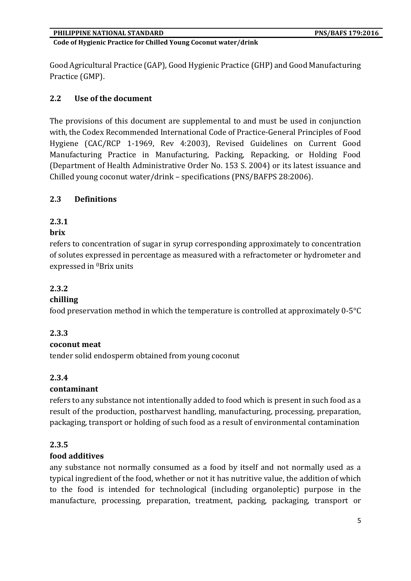Good Agricultural Practice (GAP), Good Hygienic Practice (GHP) and Good Manufacturing Practice (GMP).

# **2.2 Use of the document**

The provisions of this document are supplemental to and must be used in conjunction with, the Codex Recommended International Code of Practice-General Principles of Food Hygiene (CAC/RCP 1-1969, Rev 4:2003), Revised Guidelines on Current Good Manufacturing Practice in Manufacturing, Packing, Repacking, or Holding Food (Department of Health Administrative Order No. 153 S. 2004) or its latest issuance and Chilled young coconut water/drink – specifications (PNS/BAFPS 28:2006).

#### **2.3 Definitions**

# **2.3.1**

#### **brix**

refers to concentration of sugar in syrup corresponding approximately to concentration of solutes expressed in percentage as measured with a refractometer or hydrometer and expressed in 0Brix units

#### **2.3.2**

#### **chilling**

food preservation method in which the temperature is controlled at approximately 0-5°C

# **2.3.3**

#### **coconut meat**

tender solid endosperm obtained from young coconut

#### **2.3.4**

#### **contaminant**

refers to any substance not intentionally added to food which is present in such food as a result of the production, postharvest handling, manufacturing, processing, preparation, packaging, transport or holding of such food as a result of environmental contamination

#### **2.3.5**

#### **food additives**

any substance not normally consumed as a food by itself and not normally used as a typical ingredient of the food, whether or not it has nutritive value, the addition of which to the food is intended for technological (including organoleptic) purpose in the manufacture, processing, preparation, treatment, packing, packaging, transport or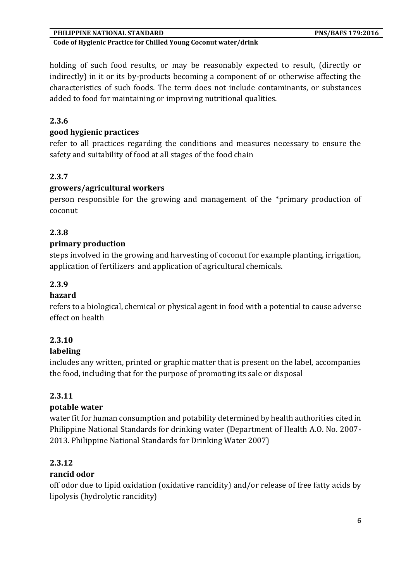#### **Code of Hygienic Practice for Chilled Young Coconut water/drink**

holding of such food results, or may be reasonably expected to result, (directly or indirectly) in it or its by-products becoming a component of or otherwise affecting the characteristics of such foods. The term does not include contaminants, or substances added to food for maintaining or improving nutritional qualities.

#### **2.3.6**

#### **good hygienic practices**

refer to all practices regarding the conditions and measures necessary to ensure the safety and suitability of food at all stages of the food chain

#### **2.3.7**

#### **growers/agricultural workers**

person responsible for the growing and management of the \*primary production of coconut

#### **2.3.8**

#### **primary production**

steps involved in the growing and harvesting of coconut for example planting, irrigation, application of fertilizers and application of agricultural chemicals.

#### **2.3.9**

#### **hazard**

refers to a biological, chemical or physical agent in food with a potential to cause adverse effect on health

#### **2.3.10**

#### **labeling**

includes any written, printed or graphic matter that is present on the label, accompanies the food, including that for the purpose of promoting its sale or disposal

#### **2.3.11**

#### **potable water**

water fit for human consumption and potability determined by health authorities cited in Philippine National Standards for drinking water (Department of Health A.O. No. 2007- 2013. Philippine National Standards for Drinking Water 2007)

#### **2.3.12**

#### **rancid odor**

off odor due to lipid oxidation (oxidative rancidity) and/or release of free fatty acids by lipolysis (hydrolytic rancidity)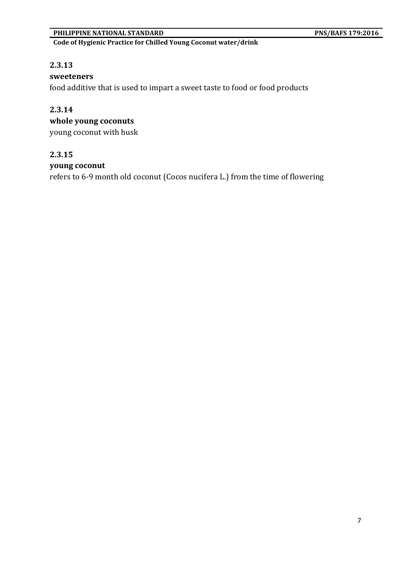**Code of Hygienic Practice for Chilled Young Coconut water/drink**

#### **2.3.13**

#### **sweeteners**

food additive that is used to impart a sweet taste to food or food products

# **2.3.14**

# **whole young coconuts**

young coconut with husk

#### **2.3.15**

#### **young coconut**

refers to 6-9 month old coconut (Cocos nucifera L.) from the time of flowering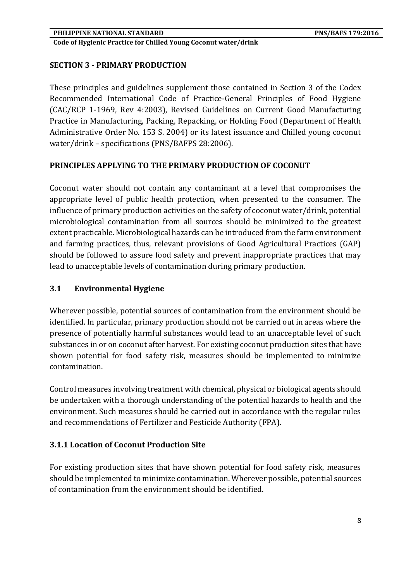# **SECTION 3 - PRIMARY PRODUCTION**

These principles and guidelines supplement those contained in Section 3 of the Codex Recommended International Code of Practice-General Principles of Food Hygiene (CAC/RCP 1-1969, Rev 4:2003), Revised Guidelines on Current Good Manufacturing Practice in Manufacturing, Packing, Repacking, or Holding Food (Department of Health Administrative Order No. 153 S. 2004) or its latest issuance and Chilled young coconut water/drink – specifications (PNS/BAFPS 28:2006).

# **PRINCIPLES APPLYING TO THE PRIMARY PRODUCTION OF COCONUT**

Coconut water should not contain any contaminant at a level that compromises the appropriate level of public health protection, when presented to the consumer. The influence of primary production activities on the safety of coconut water/drink, potential microbiological contamination from all sources should be minimized to the greatest extent practicable. Microbiological hazards can be introduced from the farm environment and farming practices, thus, relevant provisions of Good Agricultural Practices (GAP) should be followed to assure food safety and prevent inappropriate practices that may lead to unacceptable levels of contamination during primary production.

#### **3.1 Environmental Hygiene**

Wherever possible, potential sources of contamination from the environment should be identified. In particular, primary production should not be carried out in areas where the presence of potentially harmful substances would lead to an unacceptable level of such substances in or on coconut after harvest. For existing coconut production sites that have shown potential for food safety risk, measures should be implemented to minimize contamination.

Control measures involving treatment with chemical, physical or biological agents should be undertaken with a thorough understanding of the potential hazards to health and the environment. Such measures should be carried out in accordance with the regular rules and recommendations of Fertilizer and Pesticide Authority (FPA).

# **3.1.1 Location of Coconut Production Site**

For existing production sites that have shown potential for food safety risk, measures should be implemented to minimize contamination. Wherever possible, potential sources of contamination from the environment should be identified.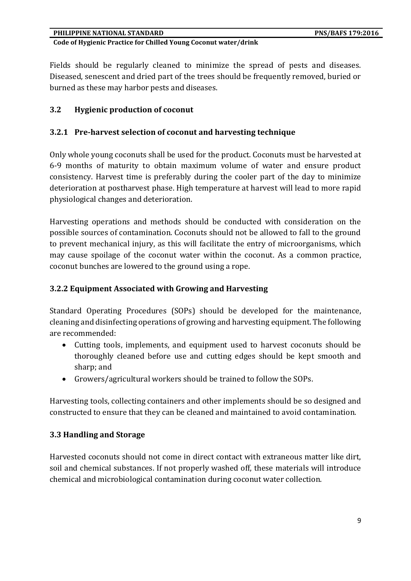Fields should be regularly cleaned to minimize the spread of pests and diseases. Diseased, senescent and dried part of the trees should be frequently removed, buried or burned as these may harbor pests and diseases.

#### **3.2 Hygienic production of coconut**

#### **3.2.1 Pre-harvest selection of coconut and harvesting technique**

Only whole young coconuts shall be used for the product. Coconuts must be harvested at 6-9 months of maturity to obtain maximum volume of water and ensure product consistency. Harvest time is preferably during the cooler part of the day to minimize deterioration at postharvest phase. High temperature at harvest will lead to more rapid physiological changes and deterioration.

Harvesting operations and methods should be conducted with consideration on the possible sources of contamination. Coconuts should not be allowed to fall to the ground to prevent mechanical injury, as this will facilitate the entry of microorganisms, which may cause spoilage of the coconut water within the coconut. As a common practice, coconut bunches are lowered to the ground using a rope.

#### **3.2.2 Equipment Associated with Growing and Harvesting**

Standard Operating Procedures (SOPs) should be developed for the maintenance, cleaning and disinfecting operations of growing and harvesting equipment. The following are recommended:

- Cutting tools, implements, and equipment used to harvest coconuts should be thoroughly cleaned before use and cutting edges should be kept smooth and sharp; and
- Growers/agricultural workers should be trained to follow the SOPs.

Harvesting tools, collecting containers and other implements should be so designed and constructed to ensure that they can be cleaned and maintained to avoid contamination.

#### **3.3 Handling and Storage**

Harvested coconuts should not come in direct contact with extraneous matter like dirt, soil and chemical substances. If not properly washed off, these materials will introduce chemical and microbiological contamination during coconut water collection.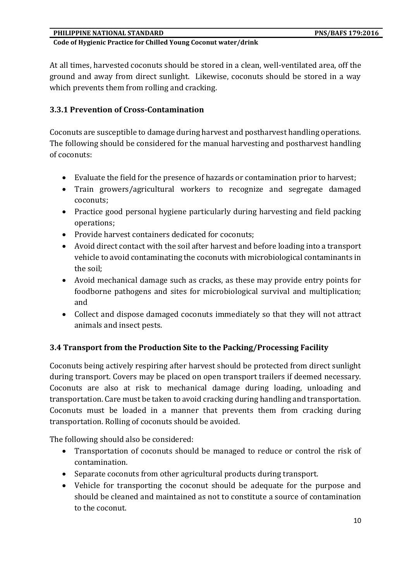At all times, harvested coconuts should be stored in a clean, well-ventilated area, off the ground and away from direct sunlight. Likewise, coconuts should be stored in a way which prevents them from rolling and cracking.

#### **3.3.1 Prevention of Cross-Contamination**

Coconuts are susceptible to damage during harvest and postharvest handling operations. The following should be considered for the manual harvesting and postharvest handling of coconuts:

- Evaluate the field for the presence of hazards or contamination prior to harvest;
- Train growers/agricultural workers to recognize and segregate damaged coconuts;
- Practice good personal hygiene particularly during harvesting and field packing operations;
- Provide harvest containers dedicated for coconuts;
- Avoid direct contact with the soil after harvest and before loading into a transport vehicle to avoid contaminating the coconuts with microbiological contaminants in the soil;
- Avoid mechanical damage such as cracks, as these may provide entry points for foodborne pathogens and sites for microbiological survival and multiplication; and
- Collect and dispose damaged coconuts immediately so that they will not attract animals and insect pests.

# **3.4 Transport from the Production Site to the Packing/Processing Facility**

Coconuts being actively respiring after harvest should be protected from direct sunlight during transport. Covers may be placed on open transport trailers if deemed necessary. Coconuts are also at risk to mechanical damage during loading, unloading and transportation. Care must be taken to avoid cracking during handling and transportation. Coconuts must be loaded in a manner that prevents them from cracking during transportation. Rolling of coconuts should be avoided.

The following should also be considered:

- Transportation of coconuts should be managed to reduce or control the risk of contamination.
- Separate coconuts from other agricultural products during transport.
- Vehicle for transporting the coconut should be adequate for the purpose and should be cleaned and maintained as not to constitute a source of contamination to the coconut.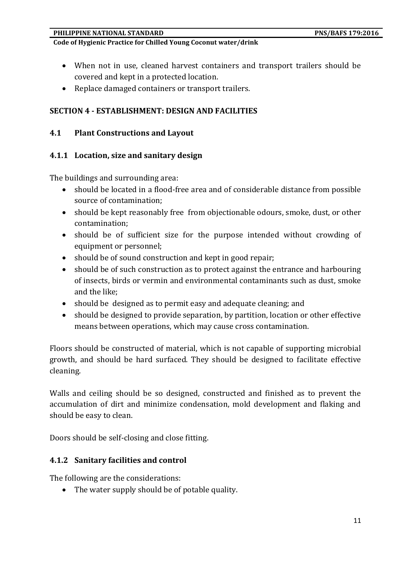#### **Code of Hygienic Practice for Chilled Young Coconut water/drink**

- When not in use, cleaned harvest containers and transport trailers should be covered and kept in a protected location.
- Replace damaged containers or transport trailers.

# **SECTION 4 - ESTABLISHMENT: DESIGN AND FACILITIES**

#### **4.1 Plant Constructions and Layout**

#### **4.1.1 Location, size and sanitary design**

The buildings and surrounding area:

- should be located in a flood-free area and of considerable distance from possible source of contamination;
- should be kept reasonably free from objectionable odours, smoke, dust, or other contamination;
- should be of sufficient size for the purpose intended without crowding of equipment or personnel;
- should be of sound construction and kept in good repair;
- should be of such construction as to protect against the entrance and harbouring of insects, birds or vermin and environmental contaminants such as dust, smoke and the like;
- should be designed as to permit easy and adequate cleaning; and
- should be designed to provide separation, by partition, location or other effective means between operations, which may cause cross contamination.

Floors should be constructed of material, which is not capable of supporting microbial growth, and should be hard surfaced. They should be designed to facilitate effective cleaning.

Walls and ceiling should be so designed, constructed and finished as to prevent the accumulation of dirt and minimize condensation, mold development and flaking and should be easy to clean.

Doors should be self-closing and close fitting.

#### **4.1.2 Sanitary facilities and control**

The following are the considerations:

• The water supply should be of potable quality.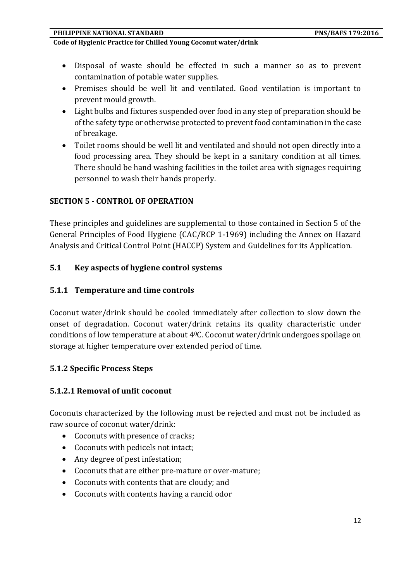**Code of Hygienic Practice for Chilled Young Coconut water/drink**

- Disposal of waste should be effected in such a manner so as to prevent contamination of potable water supplies.
- Premises should be well lit and ventilated. Good ventilation is important to prevent mould growth.
- Light bulbs and fixtures suspended over food in any step of preparation should be of the safety type or otherwise protected to prevent food contamination in the case of breakage.
- Toilet rooms should be well lit and ventilated and should not open directly into a food processing area. They should be kept in a sanitary condition at all times. There should be hand washing facilities in the toilet area with signages requiring personnel to wash their hands properly.

#### **SECTION 5 - CONTROL OF OPERATION**

These principles and guidelines are supplemental to those contained in Section 5 of the General Principles of Food Hygiene (CAC/RCP 1-1969) including the Annex on Hazard Analysis and Critical Control Point (HACCP) System and Guidelines for its Application.

#### **5.1 Key aspects of hygiene control systems**

#### **5.1.1 Temperature and time controls**

Coconut water/drink should be cooled immediately after collection to slow down the onset of degradation. Coconut water/drink retains its quality characteristic under conditions of low temperature at about 40C. Coconut water/drink undergoes spoilage on storage at higher temperature over extended period of time.

#### **5.1.2 Specific Process Steps**

#### **5.1.2.1 Removal of unfit coconut**

Coconuts characterized by the following must be rejected and must not be included as raw source of coconut water/drink:

- Coconuts with presence of cracks;
- Coconuts with pedicels not intact;
- Any degree of pest infestation;
- Coconuts that are either pre-mature or over-mature;
- Coconuts with contents that are cloudy; and
- Coconuts with contents having a rancid odor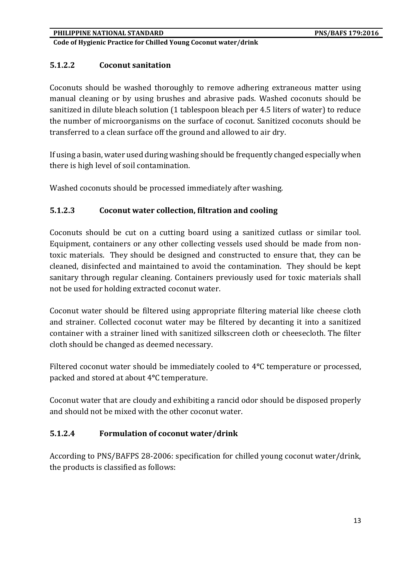# **5.1.2.2 Coconut sanitation**

Coconuts should be washed thoroughly to remove adhering extraneous matter using manual cleaning or by using brushes and abrasive pads. Washed coconuts should be sanitized in dilute bleach solution (1 tablespoon bleach per 4.5 liters of water) to reduce the number of microorganisms on the surface of coconut. Sanitized coconuts should be transferred to a clean surface off the ground and allowed to air dry.

If using a basin, water used during washing should be frequently changed especially when there is high level of soil contamination.

Washed coconuts should be processed immediately after washing.

# **5.1.2.3 Coconut water collection, filtration and cooling**

Coconuts should be cut on a cutting board using a sanitized cutlass or similar tool. Equipment, containers or any other collecting vessels used should be made from nontoxic materials. They should be designed and constructed to ensure that, they can be cleaned, disinfected and maintained to avoid the contamination. They should be kept sanitary through regular cleaning. Containers previously used for toxic materials shall not be used for holding extracted coconut water.

Coconut water should be filtered using appropriate filtering material like cheese cloth and strainer. Collected coconut water may be filtered by decanting it into a sanitized container with a strainer lined with sanitized silkscreen cloth or cheesecloth. The filter cloth should be changed as deemed necessary.

Filtered coconut water should be immediately cooled to 4**°**C temperature or processed, packed and stored at about 4**°**C temperature.

Coconut water that are cloudy and exhibiting a rancid odor should be disposed properly and should not be mixed with the other coconut water.

# **5.1.2.4 Formulation of coconut water/drink**

According to PNS/BAFPS 28-2006: specification for chilled young coconut water/drink, the products is classified as follows: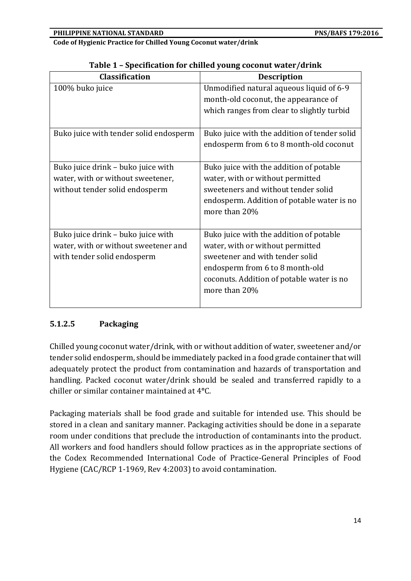| <b>Description</b>                           |
|----------------------------------------------|
| Unmodified natural aqueous liquid of 6-9     |
| month-old coconut, the appearance of         |
| which ranges from clear to slightly turbid   |
|                                              |
| Buko juice with the addition of tender solid |
| endosperm from 6 to 8 month-old coconut      |
|                                              |
| Buko juice with the addition of potable      |
| water, with or without permitted             |
| sweeteners and without tender solid          |
| endosperm. Addition of potable water is no   |
| more than 20%                                |
|                                              |
| Buko juice with the addition of potable      |
| water, with or without permitted             |
| sweetener and with tender solid              |
| endosperm from 6 to 8 month-old              |
| coconuts. Addition of potable water is no    |
| more than 20%                                |
|                                              |
|                                              |

|  |  | Table 1 - Specification for chilled young coconut water/drink |  |  |
|--|--|---------------------------------------------------------------|--|--|
|--|--|---------------------------------------------------------------|--|--|

# **5.1.2.5 Packaging**

Chilled young coconut water/drink, with or without addition of water, sweetener and/or tender solid endosperm, should be immediately packed in a food grade container that will adequately protect the product from contamination and hazards of transportation and handling. Packed coconut water/drink should be sealed and transferred rapidly to a chiller or similar container maintained at 4**°**C.

Packaging materials shall be food grade and suitable for intended use. This should be stored in a clean and sanitary manner. Packaging activities should be done in a separate room under conditions that preclude the introduction of contaminants into the product. All workers and food handlers should follow practices as in the appropriate sections of the Codex Recommended International Code of Practice-General Principles of Food Hygiene (CAC/RCP 1-1969, Rev 4:2003) to avoid contamination.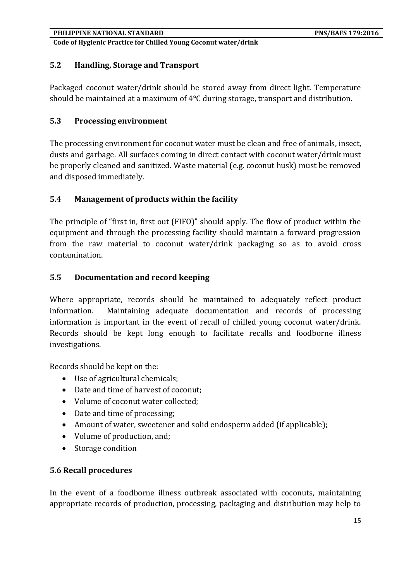# **5.2 Handling, Storage and Transport**

Packaged coconut water/drink should be stored away from direct light. Temperature should be maintained at a maximum of 4**°**C during storage, transport and distribution.

#### **5.3 Processing environment**

The processing environment for coconut water must be clean and free of animals, insect, dusts and garbage. All surfaces coming in direct contact with coconut water/drink must be properly cleaned and sanitized. Waste material (e.g. coconut husk) must be removed and disposed immediately.

#### **5.4 Management of products within the facility**

The principle of "first in, first out (FIFO)" should apply. The flow of product within the equipment and through the processing facility should maintain a forward progression from the raw material to coconut water/drink packaging so as to avoid cross contamination.

#### **5.5 Documentation and record keeping**

Where appropriate, records should be maintained to adequately reflect product information. Maintaining adequate documentation and records of processing information is important in the event of recall of chilled young coconut water/drink. Records should be kept long enough to facilitate recalls and foodborne illness investigations.

Records should be kept on the:

- Use of agricultural chemicals;
- Date and time of harvest of coconut;
- Volume of coconut water collected;
- Date and time of processing;
- Amount of water, sweetener and solid endosperm added (if applicable);
- Volume of production, and;
- Storage condition

#### **5.6 Recall procedures**

In the event of a foodborne illness outbreak associated with coconuts, maintaining appropriate records of production, processing, packaging and distribution may help to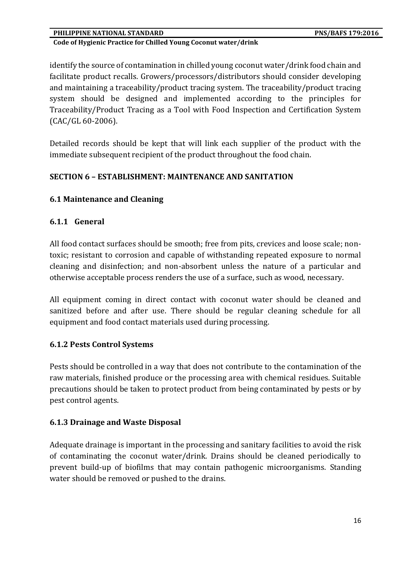#### **PHILIPPINE NATIONAL STANDARD PHILIPPINE NATIONAL STANDARD**

#### **Code of Hygienic Practice for Chilled Young Coconut water/drink**

identify the source of contamination in chilled young coconut water/drink food chain and facilitate product recalls. Growers/processors/distributors should consider developing and maintaining a traceability/product tracing system. The traceability/product tracing system should be designed and implemented according to the principles for Traceability/Product Tracing as a Tool with Food Inspection and Certification System (CAC/GL 60-2006).

Detailed records should be kept that will link each supplier of the product with the immediate subsequent recipient of the product throughout the food chain.

#### **SECTION 6 – ESTABLISHMENT: MAINTENANCE AND SANITATION**

#### **6.1 Maintenance and Cleaning**

#### **6.1.1 General**

All food contact surfaces should be smooth; free from pits, crevices and loose scale; nontoxic; resistant to corrosion and capable of withstanding repeated exposure to normal cleaning and disinfection; and non-absorbent unless the nature of a particular and otherwise acceptable process renders the use of a surface, such as wood, necessary.

All equipment coming in direct contact with coconut water should be cleaned and sanitized before and after use. There should be regular cleaning schedule for all equipment and food contact materials used during processing.

#### **6.1.2 Pests Control Systems**

Pests should be controlled in a way that does not contribute to the contamination of the raw materials, finished produce or the processing area with chemical residues. Suitable precautions should be taken to protect product from being contaminated by pests or by pest control agents.

#### **6.1.3 Drainage and Waste Disposal**

Adequate drainage is important in the processing and sanitary facilities to avoid the risk of contaminating the coconut water/drink. Drains should be cleaned periodically to prevent build-up of biofilms that may contain pathogenic microorganisms. Standing water should be removed or pushed to the drains.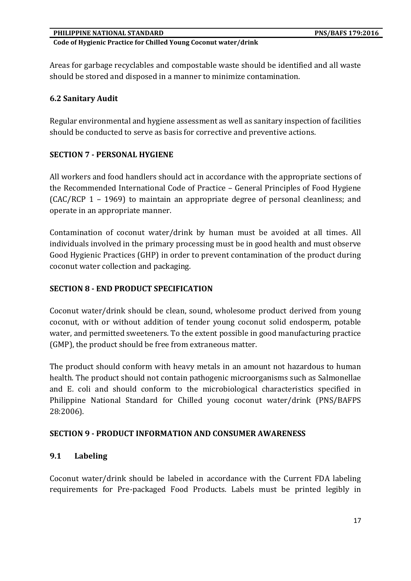Areas for garbage recyclables and compostable waste should be identified and all waste should be stored and disposed in a manner to minimize contamination.

#### **6.2 Sanitary Audit**

Regular environmental and hygiene assessment as well as sanitary inspection of facilities should be conducted to serve as basis for corrective and preventive actions.

#### **SECTION 7 - PERSONAL HYGIENE**

All workers and food handlers should act in accordance with the appropriate sections of the Recommended International Code of Practice – General Principles of Food Hygiene (CAC/RCP 1 – 1969) to maintain an appropriate degree of personal cleanliness; and operate in an appropriate manner.

Contamination of coconut water/drink by human must be avoided at all times. All individuals involved in the primary processing must be in good health and must observe Good Hygienic Practices (GHP) in order to prevent contamination of the product during coconut water collection and packaging.

#### **SECTION 8 - END PRODUCT SPECIFICATION**

Coconut water/drink should be clean, sound, wholesome product derived from young coconut, with or without addition of tender young coconut solid endosperm, potable water, and permitted sweeteners. To the extent possible in good manufacturing practice (GMP), the product should be free from extraneous matter.

The product should conform with heavy metals in an amount not hazardous to human health. The product should not contain pathogenic microorganisms such as Salmonellae and E. coli and should conform to the microbiological characteristics specified in Philippine National Standard for Chilled young coconut water/drink (PNS/BAFPS 28:2006).

#### **SECTION 9 - PRODUCT INFORMATION AND CONSUMER AWARENESS**

#### **9.1 Labeling**

Coconut water/drink should be labeled in accordance with the Current FDA labeling requirements for Pre-packaged Food Products. Labels must be printed legibly in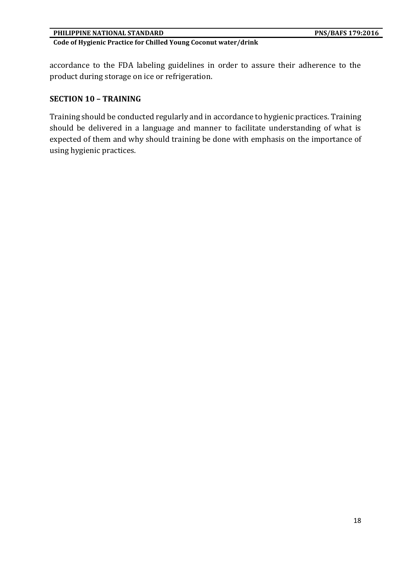accordance to the FDA labeling guidelines in order to assure their adherence to the product during storage on ice or refrigeration.

#### **SECTION 10 – TRAINING**

Training should be conducted regularly and in accordance to hygienic practices. Training should be delivered in a language and manner to facilitate understanding of what is expected of them and why should training be done with emphasis on the importance of using hygienic practices.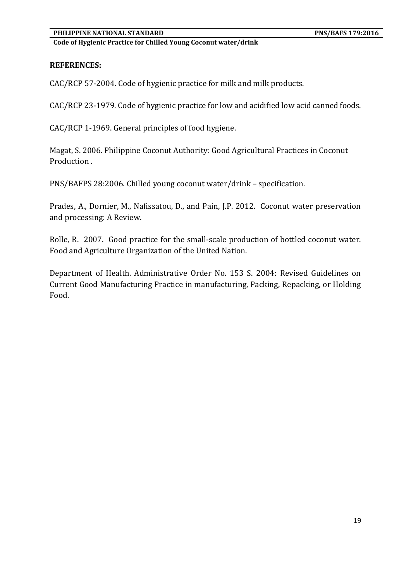**Code of Hygienic Practice for Chilled Young Coconut water/drink**

#### **REFERENCES:**

CAC/RCP 57-2004. Code of hygienic practice for milk and milk products.

CAC/RCP 23-1979. Code of hygienic practice for low and acidified low acid canned foods.

CAC/RCP 1-1969. General principles of food hygiene.

Magat, S. 2006. Philippine Coconut Authority: Good Agricultural Practices in Coconut Production .

PNS/BAFPS 28:2006. Chilled young coconut water/drink – specification.

Prades, A., Dornier, M., Nafissatou, D., and Pain, J.P. 2012. Coconut water preservation and processing: A Review.

Rolle, R. 2007. Good practice for the small-scale production of bottled coconut water. Food and Agriculture Organization of the United Nation.

Department of Health. Administrative Order No. 153 S. 2004: Revised Guidelines on Current Good Manufacturing Practice in manufacturing, Packing, Repacking, or Holding Food.